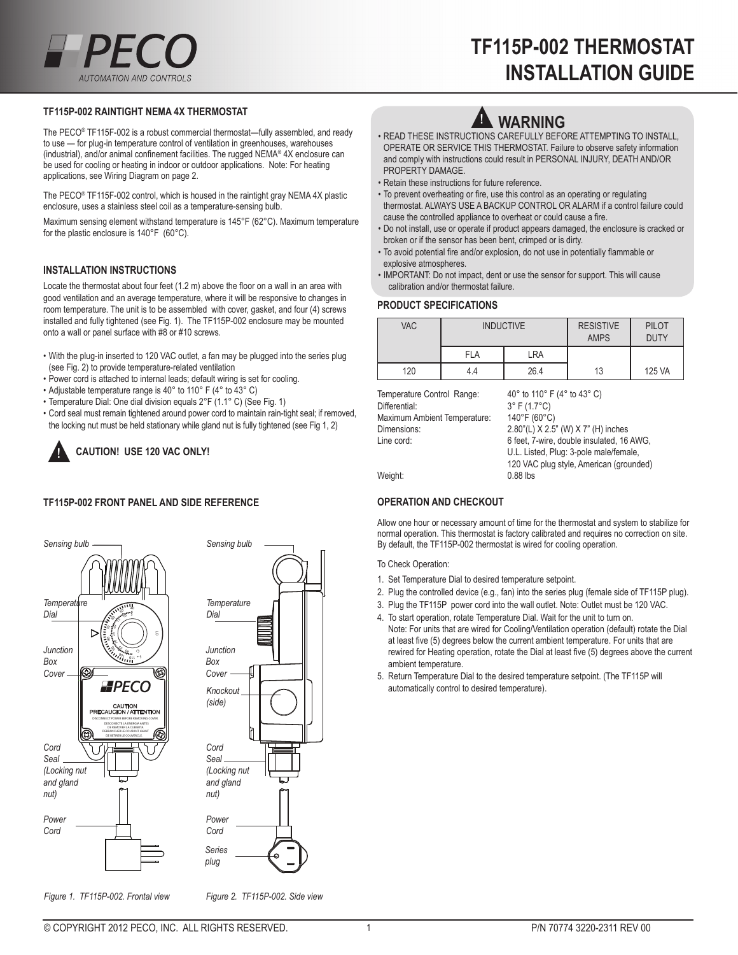### **tf115p-002 raintigHt nema 4x tHermostat**

The PECO® TF115F-002 is a robust commercial thermostat—fully assembled, and ready to use — for plug-in temperature control of ventilation in greenhouses, warehouses (industrial), and/or animal confinement facilities. The rugged NEMA®  $4X$  enclosure can be used for cooling or heating in indoor or outdoor applications. Note: For heating applications, see Wiring Diagram on page 2.

The PECO® TF115F-002 control, which is housed in the raintight gray NEMA 4X plastic enclosure, uses a stainless steel coil as a temperature-sensing bulb.

Maximum sensing element withstand temperature is 145°F (62°C). Maximum temperature for the plastic enclosure is 140°F (60°C).

#### **installation instruCtions**

Locate the thermostat about four feet (1.2 m) above the floor on a wall in an area with good ventilation and an average temperature, where it will be responsive to changes in room temperature. The unit is to be assembled with cover, gasket, and four (4) screws installed and fully tightened (see Fig. 1). The TF115P-002 enclosure may be mounted onto a wall or panel surface with #8 or #10 screws.

- With the plug-in inserted to 120 VAC outlet, a fan may be plugged into the series plug (see Fig. 2) to provide temperature-related ventilation
- Power cord is attached to internal leads; default wiring is set for cooling.
- Adjustable temperature range is 40° to 110° F (4° to 43° C)
- Temperature Dial: One dial division equals 2°F (1.1° C) (See Fig. 1)
- Cord seal must remain tightened around power cord to maintain rain-tight seal; if removed, the locking nut must be held stationary while gland nut is fully tightened (see Fig 1, 2)

## **Caution! use 120 vaC onlY!** ▲**!**

#### **tf115p-002 front panel and side referenCe**





*Figure 1. TF115P-002. Frontal view Figure 2. TF115P-002. Side view*

# **Warning**

- READ THESE INSTRUCTIONS CAREFULLY BEFORE ATTEMPTING TO INSTALL, OPERATE OR SERVICE THIS THERMOSTAT. Failure to observe safety information and comply with instructions could result in PERSONAL INJURY, DEATH AND/OR PROPERTY DAMAGE.
- Retain these instructions for future reference.
- To prevent overheating or fire, use this control as an operating or regulating thermostat. ALWAYS USE A BACKUP CONTROL OR ALARM if a control failure could cause the controlled appliance to overheat or could cause a fire.
- Do not install, use or operate if product appears damaged, the enclosure is cracked or broken or if the sensor has been bent, crimped or is dirty.
- To avoid potential fire and/or explosion, do not use in potentially flammable or explosive atmospheres.
- IMPORTANT: Do not impact, dent or use the sensor for support. This will cause calibration and/or thermostat failure.

#### **produCt speCifiCations**

| <b>VAC</b> | <b>INDUCTIVE</b> |      | <b>RESISTIVE</b><br><b>AMPS</b> | <b>PILOT</b><br><b>DUTY</b> |
|------------|------------------|------|---------------------------------|-----------------------------|
|            | <b>FLA</b>       | LRA  |                                 |                             |
| 120        | 4.4              | 26.4 | 13                              | 125 VA                      |

| Temperature Control Range:   | 40 $\degree$ to 110 $\degree$ F (4 $\degree$ to 43 $\degree$ C)                                 |  |
|------------------------------|-------------------------------------------------------------------------------------------------|--|
| Differential:                | $3^{\circ}$ F (1.7 $^{\circ}$ C)                                                                |  |
| Maximum Ambient Temperature: | $140^{\circ}$ F (60 $^{\circ}$ C)                                                               |  |
| Dimensions:                  | 2.80"(L) X 2.5" (W) X 7" (H) inches                                                             |  |
| Line cord:                   | 6 feet, 7-wire, double insulated, 16 AWG,                                                       |  |
| Weight:                      | U.L. Listed, Plug: 3-pole male/female,<br>120 VAC plug style, American (grounded)<br>$0.88$ lbs |  |

#### **operation and CHeCKout**

Allow one hour or necessary amount of time for the thermostat and system to stabilize for normal operation. This thermostat is factory calibrated and requires no correction on site. By default, the TF115P-002 thermostat is wired for cooling operation.

#### To Check Operation:

- 1. Set Temperature Dial to desired temperature setpoint.
- 2. Plug the controlled device (e.g., fan) into the series plug (female side of TF115P plug).
- 3. Plug the TF115P power cord into the wall outlet. Note: Outlet must be 120 VAC.
- 4. To start operation, rotate Temperature Dial. Wait for the unit to turn on.
- Note: For units that are wired for Cooling/Ventilation operation (default) rotate the Dial at least five (5) degrees below the current ambient temperature. For units that are rewired for Heating operation, rotate the Dial at least five (5) degrees above the current ambient temperature.
- 5. Return Temperature Dial to the desired temperature setpoint. (The TF115P will automatically control to desired temperature).